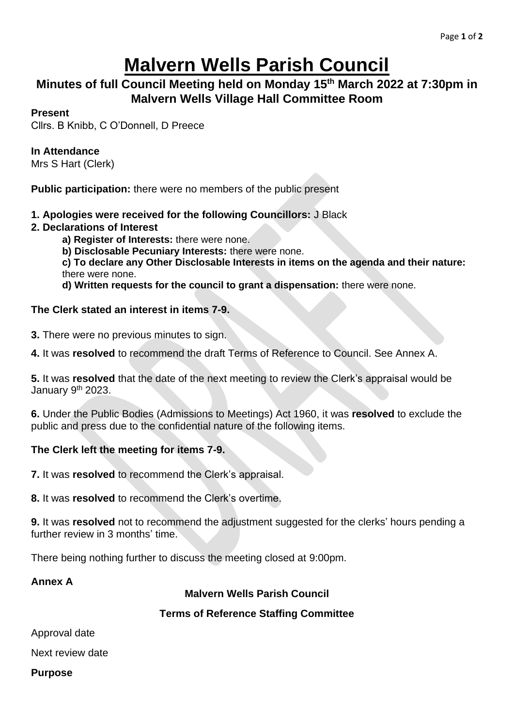# **Malvern Wells Parish Council**

## **Minutes of full Council Meeting held on Monday 15th March 2022 at 7:30pm in Malvern Wells Village Hall Committee Room**

### **Present**

Cllrs. B Knibb, C O'Donnell, D Preece

## **In Attendance**

Mrs S Hart (Clerk)

**Public participation:** there were no members of the public present

#### **1. Apologies were received for the following Councillors:** J Black

#### **2. Declarations of Interest**

**a) Register of Interests:** there were none.

**b) Disclosable Pecuniary Interests:** there were none.

**c) To declare any Other Disclosable Interests in items on the agenda and their nature:**  there were none.

**d) Written requests for the council to grant a dispensation:** there were none.

## **The Clerk stated an interest in items 7-9.**

**3.** There were no previous minutes to sign.

**4.** It was **resolved** to recommend the draft Terms of Reference to Council. See Annex A.

**5.** It was **resolved** that the date of the next meeting to review the Clerk's appraisal would be January 9<sup>th</sup> 2023.

**6.** Under the Public Bodies (Admissions to Meetings) Act 1960, it was **resolved** to exclude the public and press due to the confidential nature of the following items.

## **The Clerk left the meeting for items 7-9.**

**7.** It was **resolved** to recommend the Clerk's appraisal.

**8.** It was **resolved** to recommend the Clerk's overtime.

**9.** It was **resolved** not to recommend the adjustment suggested for the clerks' hours pending a further review in 3 months' time.

There being nothing further to discuss the meeting closed at 9:00pm.

#### **Annex A**

**Malvern Wells Parish Council**

#### **Terms of Reference Staffing Committee**

Approval date

Next review date

#### **Purpose**